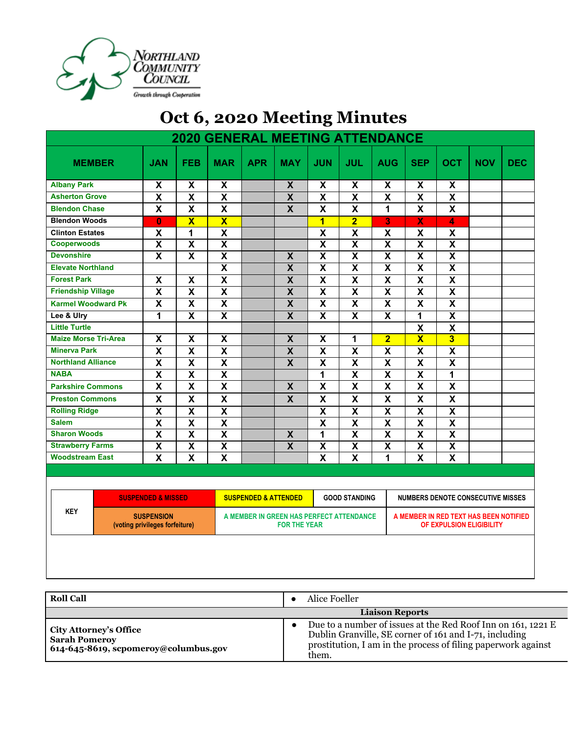

## **Oct 6, 2020 Meeting Minutes**

| <b>2020 GENERAL MEETING ATTENDANCE</b>                            |               |                               |                                                                 |                           |                                 |                         |                           |                                                                    |                           |                                          |                         |            |            |
|-------------------------------------------------------------------|---------------|-------------------------------|-----------------------------------------------------------------|---------------------------|---------------------------------|-------------------------|---------------------------|--------------------------------------------------------------------|---------------------------|------------------------------------------|-------------------------|------------|------------|
|                                                                   | <b>MEMBER</b> | <b>JAN</b>                    | <b>FEB</b>                                                      | <b>MAR</b>                | <b>APR</b>                      | <b>MAY</b>              | <b>JUN</b>                | <b>JUL</b>                                                         | <b>AUG</b>                | <b>SEP</b>                               | <b>OCT</b>              | <b>NOV</b> | <b>DEC</b> |
| <b>Albany Park</b>                                                |               | $\pmb{\mathsf{X}}$            | $\pmb{\mathsf{X}}$                                              | X                         |                                 | $\overline{\mathbf{X}}$ | X                         | $\boldsymbol{\mathsf{X}}$                                          | $\pmb{\mathsf{X}}$        | $\boldsymbol{\mathsf{X}}$                | X                       |            |            |
| <b>Asherton Grove</b>                                             |               | $\overline{\mathbf{X}}$       | $\pmb{\mathsf{X}}$                                              | X                         |                                 | $\overline{\mathbf{X}}$ | X                         | $\overline{\mathbf{X}}$                                            | $\pmb{\mathsf{X}}$        | X                                        | $\pmb{\mathsf{X}}$      |            |            |
| <b>Blendon Chase</b>                                              |               | $\overline{\mathbf{x}}$       | $\overline{\mathbf{X}}$                                         | $\overline{\mathbf{X}}$   |                                 | $\overline{\mathbf{x}}$ | $\overline{\mathbf{X}}$   | $\overline{\mathbf{x}}$                                            | 1                         | $\overline{\mathbf{x}}$                  | $\overline{\mathbf{X}}$ |            |            |
| <b>Blendon Woods</b>                                              |               | $\mathbf{0}$                  | $\overline{\mathbf{X}}$                                         | $\overline{\mathbf{X}}$   |                                 |                         | $\overline{1}$            | $\overline{\mathbf{2}}$                                            | $\overline{\mathbf{3}}$   | $\overline{\textbf{X}}$                  | 4                       |            |            |
| <b>Clinton Estates</b>                                            |               | $\pmb{\chi}$                  | 1                                                               | $\pmb{\mathsf{X}}$        |                                 |                         | $\boldsymbol{\mathsf{X}}$ | $\boldsymbol{\mathsf{X}}$                                          | $\pmb{\mathsf{X}}$        | $\boldsymbol{\mathsf{X}}$                | $\pmb{\mathsf{X}}$      |            |            |
| <b>Cooperwoods</b>                                                |               | $\overline{\mathbf{x}}$       | $\overline{\mathbf{X}}$                                         | $\overline{\mathbf{x}}$   |                                 |                         | $\overline{\mathsf{x}}$   | $\overline{\mathsf{x}}$                                            | $\overline{\mathbf{x}}$   | $\overline{\mathsf{x}}$                  | $\overline{\mathbf{X}}$ |            |            |
| <b>Devonshire</b>                                                 |               | $\overline{\mathbf{x}}$       | $\overline{\mathbf{x}}$                                         | $\overline{\mathbf{x}}$   |                                 | $\overline{\mathbf{X}}$ | $\overline{\mathbf{X}}$   | $\overline{\mathbf{x}}$                                            | $\overline{\mathbf{x}}$   | $\overline{\mathbf{X}}$                  | $\overline{\mathbf{X}}$ |            |            |
| <b>Elevate Northland</b>                                          |               |                               |                                                                 | $\overline{\mathbf{X}}$   |                                 | $\overline{\mathbf{x}}$ | $\overline{\mathbf{X}}$   | $\overline{\mathbf{x}}$                                            | $\overline{\mathbf{X}}$   | $\overline{\mathbf{X}}$                  | $\overline{\mathbf{X}}$ |            |            |
| <b>Forest Park</b>                                                |               | $\overline{\mathbf{x}}$       | $\overline{\mathbf{x}}$                                         | $\overline{\mathbf{X}}$   |                                 | $\overline{\mathbf{x}}$ | $\overline{\mathbf{X}}$   | $\overline{\mathbf{x}}$                                            | $\overline{\mathbf{x}}$   | $\overline{\mathbf{x}}$                  | $\overline{\mathbf{x}}$ |            |            |
| <b>Friendship Village</b>                                         |               | $\overline{\mathbf{X}}$       | $\overline{\mathbf{x}}$                                         | $\overline{\mathbf{X}}$   |                                 | $\overline{\mathbf{x}}$ | $\overline{\mathbf{X}}$   | $\overline{\mathbf{x}}$                                            | $\overline{\mathbf{x}}$   | $\overline{\mathbf{x}}$                  | $\overline{\mathbf{x}}$ |            |            |
| <b>Karmel Woodward Pk</b>                                         |               | $\overline{\mathbf{x}}$       | $\overline{\mathbf{X}}$                                         | $\overline{\mathbf{X}}$   |                                 | $\overline{\mathbf{X}}$ | $\overline{\mathbf{X}}$   | $\overline{\mathbf{x}}$                                            | $\overline{\mathbf{X}}$   | $\overline{\mathbf{x}}$                  | $\overline{\mathbf{x}}$ |            |            |
| Lee & Ulry                                                        |               | 1                             | $\overline{\mathsf{x}}$                                         | $\overline{\mathsf{x}}$   |                                 | $\overline{\mathsf{x}}$ | $\overline{\mathsf{x}}$   | $\overline{\mathbf{x}}$                                            | $\overline{\mathbf{x}}$   | $\overline{1}$                           | $\overline{\mathbf{X}}$ |            |            |
| <b>Little Turtle</b>                                              |               |                               |                                                                 |                           |                                 |                         |                           |                                                                    |                           | X                                        | $\mathsf{\overline{X}}$ |            |            |
| <b>Maize Morse Tri-Area</b>                                       |               | X                             | $\boldsymbol{\mathsf{x}}$                                       | $\overline{\mathbf{x}}$   |                                 | $\overline{\mathbf{X}}$ | X                         | 1                                                                  | $\overline{\mathbf{2}}$   | $\overline{\mathbf{X}}$                  | $\overline{\mathbf{3}}$ |            |            |
| <b>Minerva Park</b>                                               |               | $\overline{\mathbf{X}}$       | $\overline{\mathbf{x}}$                                         | $\overline{\mathbf{X}}$   |                                 | $\overline{\mathbf{x}}$ | $\overline{\mathbf{X}}$   | $\overline{\mathbf{x}}$                                            | $\overline{\mathbf{x}}$   | $\overline{\mathbf{x}}$                  | $\overline{\mathbf{x}}$ |            |            |
| <b>Northland Alliance</b>                                         |               | $\overline{\mathbf{x}}$       | $\overline{\mathbf{X}}$                                         | $\overline{\mathbf{X}}$   |                                 | $\overline{\mathbf{x}}$ | $\overline{\mathbf{X}}$   | $\overline{\mathbf{x}}$                                            | $\overline{\mathbf{X}}$   | $\overline{\mathbf{x}}$                  | $\overline{\mathbf{X}}$ |            |            |
| <b>NABA</b>                                                       |               | $\overline{\mathbf{x}}$       | $\overline{\mathbf{X}}$                                         | $\overline{\mathbf{X}}$   |                                 |                         | 1                         | $\overline{\mathbf{X}}$                                            | $\overline{\mathbf{X}}$   | $\overline{\mathbf{x}}$                  | 1                       |            |            |
| <b>Parkshire Commons</b>                                          |               | $\mathsf{X}$                  | $\boldsymbol{\mathsf{x}}$                                       | X                         |                                 | X                       | $\mathsf{X}$              | $\boldsymbol{\mathsf{x}}$                                          | $\boldsymbol{\mathsf{x}}$ | $\mathbf{x}$                             | $\mathsf{x}$            |            |            |
| <b>Preston Commons</b>                                            |               | $\boldsymbol{\mathsf{x}}$     | $\mathsf{x}$                                                    | X                         |                                 | $\mathbf{x}$            | $\boldsymbol{\mathsf{X}}$ | $\boldsymbol{\mathsf{x}}$                                          | $\boldsymbol{\mathsf{x}}$ | $\mathbf{x}$                             | $\mathbf x$             |            |            |
| <b>Rolling Ridge</b>                                              |               | $\overline{\mathbf{x}}$       | $\overline{\mathbf{X}}$                                         | $\overline{\mathbf{X}}$   |                                 |                         | $\overline{\mathbf{X}}$   | $\overline{\mathbf{x}}$                                            | $\overline{\mathbf{X}}$   | $\overline{\mathbf{x}}$                  | $\overline{\mathbf{X}}$ |            |            |
| <b>Salem</b>                                                      |               | $\boldsymbol{\mathsf{X}}$     | $\pmb{\mathsf{X}}$                                              | $\pmb{\mathsf{X}}$        |                                 |                         | $\boldsymbol{\mathsf{X}}$ | $\boldsymbol{\mathsf{X}}$                                          | $\pmb{\mathsf{X}}$        | $\mathsf{X}$                             | $\pmb{\mathsf{X}}$      |            |            |
| <b>Sharon Woods</b>                                               |               | $\overline{\mathbf{x}}$       | $\overline{\mathbf{X}}$                                         | $\overline{\mathbf{x}}$   |                                 | $\boldsymbol{X}$        | $\mathbf{1}$              | $\overline{\mathbf{x}}$                                            | $\overline{\mathbf{X}}$   | $\overline{\mathbf{x}}$                  | $\overline{\mathbf{X}}$ |            |            |
| <b>Strawberry Farms</b>                                           |               | X                             | $\pmb{\mathsf{X}}$                                              | $\overline{\mathbf{X}}$   |                                 | $\overline{\mathbf{X}}$ | $\pmb{\mathsf{X}}$        | $\overline{\mathbf{X}}$                                            | X                         | $\overline{\mathbf{x}}$                  | $\overline{\mathbf{X}}$ |            |            |
| <b>Woodstream East</b>                                            |               | $\mathbf{x}$                  | $\boldsymbol{\mathsf{x}}$                                       | $\boldsymbol{\mathsf{x}}$ |                                 |                         | $\boldsymbol{\mathsf{X}}$ | $\boldsymbol{\mathsf{X}}$                                          | 1                         | $\mathsf{x}$                             | X                       |            |            |
|                                                                   |               |                               |                                                                 |                           |                                 |                         |                           |                                                                    |                           |                                          |                         |            |            |
|                                                                   |               |                               |                                                                 |                           |                                 |                         |                           |                                                                    |                           |                                          |                         |            |            |
|                                                                   |               | <b>SUSPENDED &amp; MISSED</b> |                                                                 |                           | <b>SUSPENDED &amp; ATTENDED</b> |                         |                           | <b>GOOD STANDING</b>                                               |                           | <b>NUMBERS DENOTE CONSECUTIVE MISSES</b> |                         |            |            |
| <b>KEY</b><br><b>SUSPENSION</b><br>(voting privileges forfeiture) |               |                               | A MEMBER IN GREEN HAS PERFECT ATTENDANCE<br><b>FOR THE YEAR</b> |                           |                                 |                         |                           | A MEMBER IN RED TEXT HAS BEEN NOTIFIED<br>OF EXPULSION ELIGIBILITY |                           |                                          |                         |            |            |
|                                                                   |               |                               |                                                                 |                           |                                 |                         |                           |                                                                    |                           |                                          |                         |            |            |

| <b>Roll Call</b>                                                                              | Alice Foeller                                                                                                                                                                                    |
|-----------------------------------------------------------------------------------------------|--------------------------------------------------------------------------------------------------------------------------------------------------------------------------------------------------|
|                                                                                               | Liaison Reports                                                                                                                                                                                  |
| <b>City Attorney's Office</b><br><b>Sarah Pomeroy</b><br>614-645-8619, scpomeroy@columbus.gov | Due to a number of issues at the Red Roof Inn on 161, 1221 E<br>Dublin Granville, SE corner of 161 and I-71, including<br>prostitution, I am in the process of filing paperwork against<br>them. |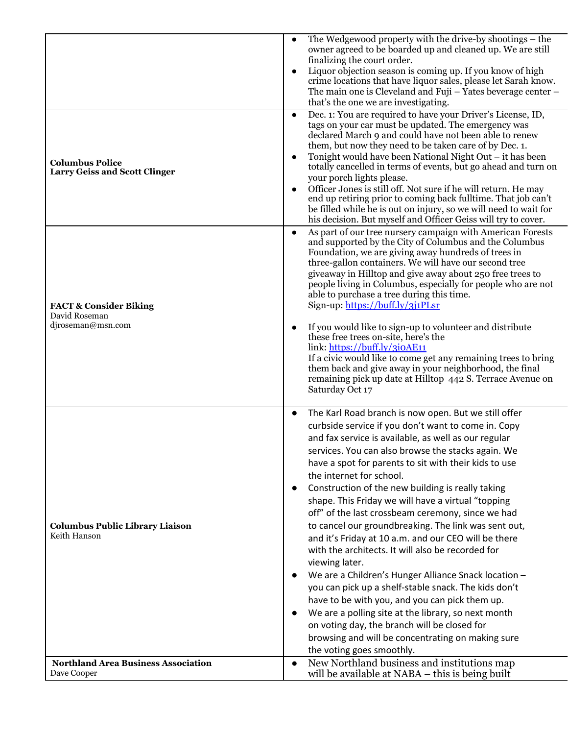|                                                                         | The Wedgewood property with the drive-by shootings – the<br>owner agreed to be boarded up and cleaned up. We are still                                                                                                                                                                                                                                                                                                                                                                                                                                                                                                                                                                                                                                                                                                                                                                                                                                                                                                                                     |
|-------------------------------------------------------------------------|------------------------------------------------------------------------------------------------------------------------------------------------------------------------------------------------------------------------------------------------------------------------------------------------------------------------------------------------------------------------------------------------------------------------------------------------------------------------------------------------------------------------------------------------------------------------------------------------------------------------------------------------------------------------------------------------------------------------------------------------------------------------------------------------------------------------------------------------------------------------------------------------------------------------------------------------------------------------------------------------------------------------------------------------------------|
|                                                                         | finalizing the court order.<br>Liquor objection season is coming up. If you know of high<br>$\bullet$<br>crime locations that have liquor sales, please let Sarah know.<br>The main one is Cleveland and Fuji - Yates beverage center -                                                                                                                                                                                                                                                                                                                                                                                                                                                                                                                                                                                                                                                                                                                                                                                                                    |
|                                                                         | that's the one we are investigating.                                                                                                                                                                                                                                                                                                                                                                                                                                                                                                                                                                                                                                                                                                                                                                                                                                                                                                                                                                                                                       |
| <b>Columbus Police</b><br><b>Larry Geiss and Scott Clinger</b>          | Dec. 1: You are required to have your Driver's License, ID,<br>$\bullet$<br>tags on your car must be updated. The emergency was<br>declared March 9 and could have not been able to renew<br>them, but now they need to be taken care of by Dec. 1.<br>Tonight would have been National Night Out – it has been<br>$\bullet$<br>totally cancelled in terms of events, but go ahead and turn on<br>your porch lights please.<br>Officer Jones is still off. Not sure if he will return. He may<br>$\bullet$<br>end up retiring prior to coming back fulltime. That job can't<br>be filled while he is out on injury, so we will need to wait for<br>his decision. But myself and Officer Geiss will try to cover.                                                                                                                                                                                                                                                                                                                                           |
| <b>FACT &amp; Consider Biking</b><br>David Roseman<br>djroseman@msn.com | As part of our tree nursery campaign with American Forests<br>$\bullet$<br>and supported by the City of Columbus and the Columbus<br>Foundation, we are giving away hundreds of trees in<br>three-gallon containers. We will have our second tree<br>giveaway in Hilltop and give away about 250 free trees to<br>people living in Columbus, especially for people who are not<br>able to purchase a tree during this time.<br>Sign-up: https://buff.ly/3j1PLsr<br>If you would like to sign-up to volunteer and distribute<br>$\bullet$<br>these free trees on-site, here's the<br>link: https://buff.ly/3ioAE11<br>If a civic would like to come get any remaining trees to bring<br>them back and give away in your neighborhood, the final<br>remaining pick up date at Hilltop 442 S. Terrace Avenue on<br>Saturday Oct 17                                                                                                                                                                                                                            |
| <b>Columbus Public Library Liaison</b><br>Keith Hanson                  | The Karl Road branch is now open. But we still offer<br>$\bullet$<br>curbside service if you don't want to come in. Copy<br>and fax service is available, as well as our regular<br>services. You can also browse the stacks again. We<br>have a spot for parents to sit with their kids to use<br>the internet for school.<br>Construction of the new building is really taking<br>$\bullet$<br>shape. This Friday we will have a virtual "topping<br>off" of the last crossbeam ceremony, since we had<br>to cancel our groundbreaking. The link was sent out,<br>and it's Friday at 10 a.m. and our CEO will be there<br>with the architects. It will also be recorded for<br>viewing later.<br>We are a Children's Hunger Alliance Snack location -<br>you can pick up a shelf-stable snack. The kids don't<br>have to be with you, and you can pick them up.<br>We are a polling site at the library, so next month<br>on voting day, the branch will be closed for<br>browsing and will be concentrating on making sure<br>the voting goes smoothly. |
| <b>Northland Area Business Association</b><br>Dave Cooper               | New Northland business and institutions map<br>will be available at NABA – this is being built                                                                                                                                                                                                                                                                                                                                                                                                                                                                                                                                                                                                                                                                                                                                                                                                                                                                                                                                                             |
|                                                                         |                                                                                                                                                                                                                                                                                                                                                                                                                                                                                                                                                                                                                                                                                                                                                                                                                                                                                                                                                                                                                                                            |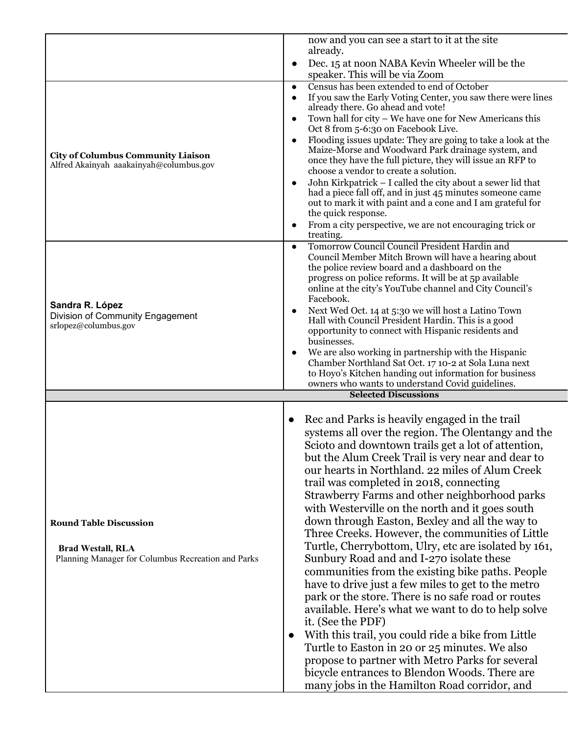|                                                     | now and you can see a start to it at the site<br>already.                                                                            |
|-----------------------------------------------------|--------------------------------------------------------------------------------------------------------------------------------------|
|                                                     | Dec. 15 at noon NABA Kevin Wheeler will be the<br>$\bullet$                                                                          |
|                                                     | speaker. This will be via Zoom                                                                                                       |
|                                                     | Census has been extended to end of October<br>$\bullet$<br>If you saw the Early Voting Center, you saw there were lines<br>$\bullet$ |
|                                                     | already there. Go ahead and vote!                                                                                                    |
|                                                     | Town hall for city – We have one for New Americans this<br>$\bullet$<br>Oct 8 from 5-6:30 on Facebook Live.                          |
|                                                     | Flooding issues update: They are going to take a look at the<br>$\bullet$                                                            |
| <b>City of Columbus Community Liaison</b>           | Maize-Morse and Woodward Park drainage system, and                                                                                   |
| Alfred Akainyah aaakainyah@columbus.gov             | once they have the full picture, they will issue an RFP to<br>choose a vendor to create a solution.                                  |
|                                                     | John Kirkpatrick - I called the city about a sewer lid that<br>$\bullet$                                                             |
|                                                     | had a piece fall off, and in just 45 minutes someone came                                                                            |
|                                                     | out to mark it with paint and a cone and I am grateful for<br>the quick response.                                                    |
|                                                     | From a city perspective, we are not encouraging trick or<br>$\bullet$                                                                |
|                                                     | treating.                                                                                                                            |
|                                                     | Tomorrow Council Council President Hardin and<br>$\bullet$<br>Council Member Mitch Brown will have a hearing about                   |
|                                                     | the police review board and a dashboard on the                                                                                       |
|                                                     | progress on police reforms. It will be at 5p available<br>online at the city's YouTube channel and City Council's                    |
|                                                     | Facebook.                                                                                                                            |
| Sandra R. López<br>Division of Community Engagement | Next Wed Oct. 14 at 5:30 we will host a Latino Town<br>$\bullet$                                                                     |
| srlopez@columbus.gov                                | Hall with Council President Hardin. This is a good<br>opportunity to connect with Hispanic residents and                             |
|                                                     | businesses.                                                                                                                          |
|                                                     | We are also working in partnership with the Hispanic<br>$\bullet$                                                                    |
|                                                     |                                                                                                                                      |
|                                                     | Chamber Northland Sat Oct. 17 10-2 at Sola Luna next                                                                                 |
|                                                     | to Hoyo's Kitchen handing out information for business<br>owners who wants to understand Covid guidelines.                           |
|                                                     | <b>Selected Discussions</b>                                                                                                          |
|                                                     | Rec and Parks is heavily engaged in the trail<br>$\bullet$                                                                           |
|                                                     | systems all over the region. The Olentangy and the                                                                                   |
|                                                     | Scioto and downtown trails get a lot of attention,                                                                                   |
|                                                     | but the Alum Creek Trail is very near and dear to                                                                                    |
|                                                     | our hearts in Northland. 22 miles of Alum Creek                                                                                      |
|                                                     | trail was completed in 2018, connecting                                                                                              |
|                                                     | Strawberry Farms and other neighborhood parks                                                                                        |
| <b>Round Table Discussion</b>                       | with Westerville on the north and it goes south<br>down through Easton, Bexley and all the way to                                    |
|                                                     | Three Creeks. However, the communities of Little                                                                                     |
| <b>Brad Westall, RLA</b>                            | Turtle, Cherrybottom, Ulry, etc are isolated by 161,                                                                                 |
| Planning Manager for Columbus Recreation and Parks  | Sunbury Road and and I-270 isolate these                                                                                             |
|                                                     | communities from the existing bike paths. People                                                                                     |
|                                                     | have to drive just a few miles to get to the metro                                                                                   |
|                                                     | park or the store. There is no safe road or routes<br>available. Here's what we want to do to help solve                             |
|                                                     | it. (See the PDF)                                                                                                                    |
|                                                     | With this trail, you could ride a bike from Little<br>$\bullet$                                                                      |
|                                                     | Turtle to Easton in 20 or 25 minutes. We also                                                                                        |
|                                                     | propose to partner with Metro Parks for several<br>bicycle entrances to Blendon Woods. There are                                     |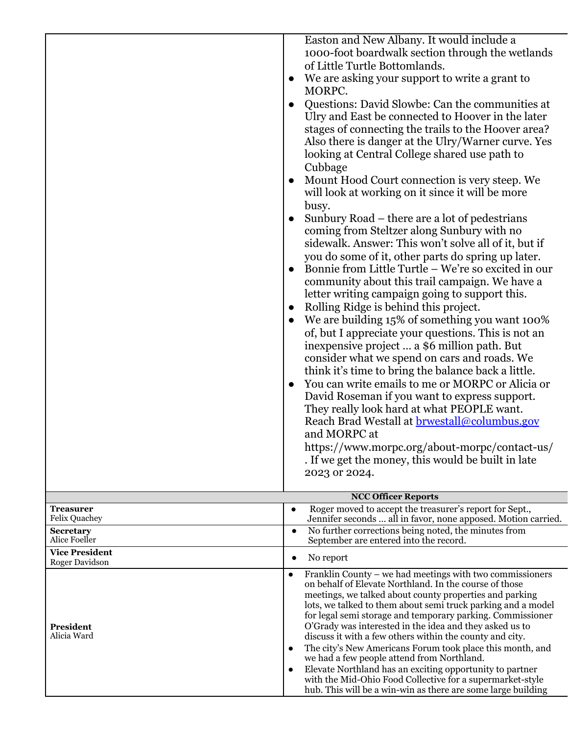|                                                              | Easton and New Albany. It would include a<br>1000-foot boardwalk section through the wetlands<br>of Little Turtle Bottomlands.<br>We are asking your support to write a grant to<br>MORPC.<br>Questions: David Slowbe: Can the communities at<br>Ulry and East be connected to Hoover in the later<br>stages of connecting the trails to the Hoover area?<br>Also there is danger at the Ulry/Warner curve. Yes<br>looking at Central College shared use path to<br>Cubbage<br>Mount Hood Court connection is very steep. We<br>will look at working on it since it will be more<br>busy.<br>Sunbury Road – there are a lot of pedestrians<br>coming from Steltzer along Sunbury with no<br>sidewalk. Answer: This won't solve all of it, but if<br>you do some of it, other parts do spring up later.<br>Bonnie from Little Turtle – We're so excited in our<br>community about this trail campaign. We have a<br>letter writing campaign going to support this.<br>Rolling Ridge is behind this project.<br>We are building 15% of something you want 100%<br>of, but I appreciate your questions. This is not an<br>inexpensive project  a \$6 million path. But<br>consider what we spend on cars and roads. We<br>think it's time to bring the balance back a little.<br>You can write emails to me or MORPC or Alicia or<br>David Roseman if you want to express support.<br>They really look hard at what PEOPLE want.<br>Reach Brad Westall at <b>brwestall@columbus.gov</b><br>and MORPC at<br>https://www.morpc.org/about-morpc/contact-us/<br>. If we get the money, this would be built in late<br>2023 or 2024. |
|--------------------------------------------------------------|------------------------------------------------------------------------------------------------------------------------------------------------------------------------------------------------------------------------------------------------------------------------------------------------------------------------------------------------------------------------------------------------------------------------------------------------------------------------------------------------------------------------------------------------------------------------------------------------------------------------------------------------------------------------------------------------------------------------------------------------------------------------------------------------------------------------------------------------------------------------------------------------------------------------------------------------------------------------------------------------------------------------------------------------------------------------------------------------------------------------------------------------------------------------------------------------------------------------------------------------------------------------------------------------------------------------------------------------------------------------------------------------------------------------------------------------------------------------------------------------------------------------------------------------------------------------------------------------------------------------------|
|                                                              | <b>NCC Officer Reports</b>                                                                                                                                                                                                                                                                                                                                                                                                                                                                                                                                                                                                                                                                                                                                                                                                                                                                                                                                                                                                                                                                                                                                                                                                                                                                                                                                                                                                                                                                                                                                                                                                   |
| <b>Treasurer</b><br><b>Felix Quachey</b><br><b>Secretary</b> | Roger moved to accept the treasurer's report for Sept.,<br>$\bullet$<br>Jennifer seconds  all in favor, none apposed. Motion carried.<br>No further corrections being noted, the minutes from                                                                                                                                                                                                                                                                                                                                                                                                                                                                                                                                                                                                                                                                                                                                                                                                                                                                                                                                                                                                                                                                                                                                                                                                                                                                                                                                                                                                                                |
| Alice Foeller<br><b>Vice President</b>                       | September are entered into the record.<br>No report                                                                                                                                                                                                                                                                                                                                                                                                                                                                                                                                                                                                                                                                                                                                                                                                                                                                                                                                                                                                                                                                                                                                                                                                                                                                                                                                                                                                                                                                                                                                                                          |
| Roger Davidson                                               |                                                                                                                                                                                                                                                                                                                                                                                                                                                                                                                                                                                                                                                                                                                                                                                                                                                                                                                                                                                                                                                                                                                                                                                                                                                                                                                                                                                                                                                                                                                                                                                                                              |
| <b>President</b><br>Alicia Ward                              | Franklin County – we had meetings with two commissioners<br>$\bullet$<br>on behalf of Elevate Northland. In the course of those<br>meetings, we talked about county properties and parking<br>lots, we talked to them about semi truck parking and a model<br>for legal semi storage and temporary parking. Commissioner<br>O'Grady was interested in the idea and they asked us to<br>discuss it with a few others within the county and city.<br>The city's New Americans Forum took place this month, and<br>$\bullet$<br>we had a few people attend from Northland.<br>Elevate Northland has an exciting opportunity to partner<br>with the Mid-Ohio Food Collective for a supermarket-style<br>hub. This will be a win-win as there are some large building                                                                                                                                                                                                                                                                                                                                                                                                                                                                                                                                                                                                                                                                                                                                                                                                                                                             |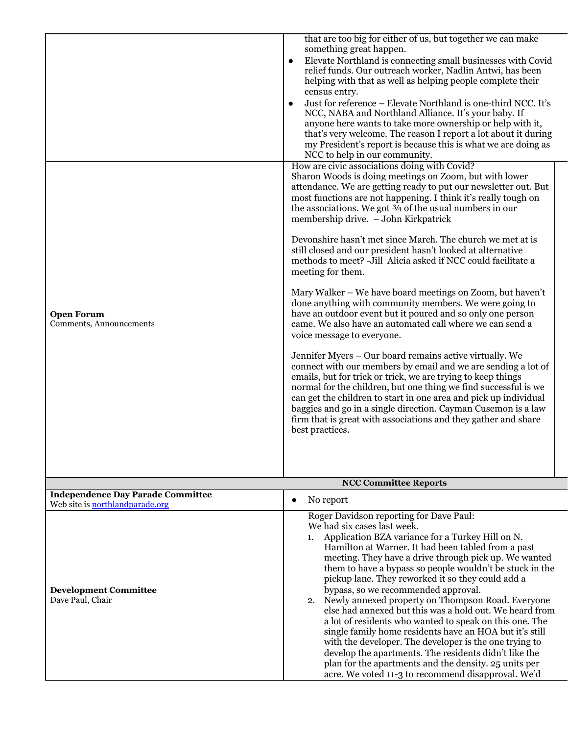|                                                                             | that are too big for either of us, but together we can make<br>something great happen.<br>Elevate Northland is connecting small businesses with Covid<br>$\bullet$<br>relief funds. Our outreach worker, Nadlin Antwi, has been<br>helping with that as well as helping people complete their<br>census entry.<br>Just for reference - Elevate Northland is one-third NCC. It's<br>NCC, NABA and Northland Alliance. It's your baby. If<br>anyone here wants to take more ownership or help with it,<br>that's very welcome. The reason I report a lot about it during<br>my President's report is because this is what we are doing as<br>NCC to help in our community.<br>How are civic associations doing with Covid?<br>Sharon Woods is doing meetings on Zoom, but with lower<br>attendance. We are getting ready to put our newsletter out. But<br>most functions are not happening. I think it's really tough on<br>the associations. We got 3/4 of the usual numbers in our<br>membership drive. - John Kirkpatrick<br>Devonshire hasn't met since March. The church we met at is<br>still closed and our president hasn't looked at alternative<br>methods to meet? - Jill Alicia asked if NCC could facilitate a |  |  |  |  |
|-----------------------------------------------------------------------------|----------------------------------------------------------------------------------------------------------------------------------------------------------------------------------------------------------------------------------------------------------------------------------------------------------------------------------------------------------------------------------------------------------------------------------------------------------------------------------------------------------------------------------------------------------------------------------------------------------------------------------------------------------------------------------------------------------------------------------------------------------------------------------------------------------------------------------------------------------------------------------------------------------------------------------------------------------------------------------------------------------------------------------------------------------------------------------------------------------------------------------------------------------------------------------------------------------------------------|--|--|--|--|
| <b>Open Forum</b><br>Comments, Announcements                                | meeting for them.<br>Mary Walker – We have board meetings on Zoom, but haven't<br>done anything with community members. We were going to<br>have an outdoor event but it poured and so only one person<br>came. We also have an automated call where we can send a<br>voice message to everyone.<br>Jennifer Myers - Our board remains active virtually. We<br>connect with our members by email and we are sending a lot of<br>emails, but for trick or trick, we are trying to keep things<br>normal for the children, but one thing we find successful is we<br>can get the children to start in one area and pick up individual<br>baggies and go in a single direction. Cayman Cusemon is a law<br>firm that is great with associations and they gather and share<br>best practices.                                                                                                                                                                                                                                                                                                                                                                                                                                  |  |  |  |  |
|                                                                             | <b>NCC Committee Reports</b>                                                                                                                                                                                                                                                                                                                                                                                                                                                                                                                                                                                                                                                                                                                                                                                                                                                                                                                                                                                                                                                                                                                                                                                               |  |  |  |  |
| <b>Independence Day Parade Committee</b><br>Web site is northlandparade.org | No report<br>$\bullet$                                                                                                                                                                                                                                                                                                                                                                                                                                                                                                                                                                                                                                                                                                                                                                                                                                                                                                                                                                                                                                                                                                                                                                                                     |  |  |  |  |
| <b>Development Committee</b><br>Dave Paul, Chair                            | Roger Davidson reporting for Dave Paul:<br>We had six cases last week.<br>Application BZA variance for a Turkey Hill on N.<br>1.<br>Hamilton at Warner. It had been tabled from a past<br>meeting. They have a drive through pick up. We wanted<br>them to have a bypass so people wouldn't be stuck in the<br>pickup lane. They reworked it so they could add a<br>bypass, so we recommended approval.<br>Newly annexed property on Thompson Road. Everyone<br>2.<br>else had annexed but this was a hold out. We heard from<br>a lot of residents who wanted to speak on this one. The<br>single family home residents have an HOA but it's still<br>with the developer. The developer is the one trying to<br>develop the apartments. The residents didn't like the<br>plan for the apartments and the density. 25 units per<br>acre. We voted 11-3 to recommend disapproval. We'd                                                                                                                                                                                                                                                                                                                                      |  |  |  |  |